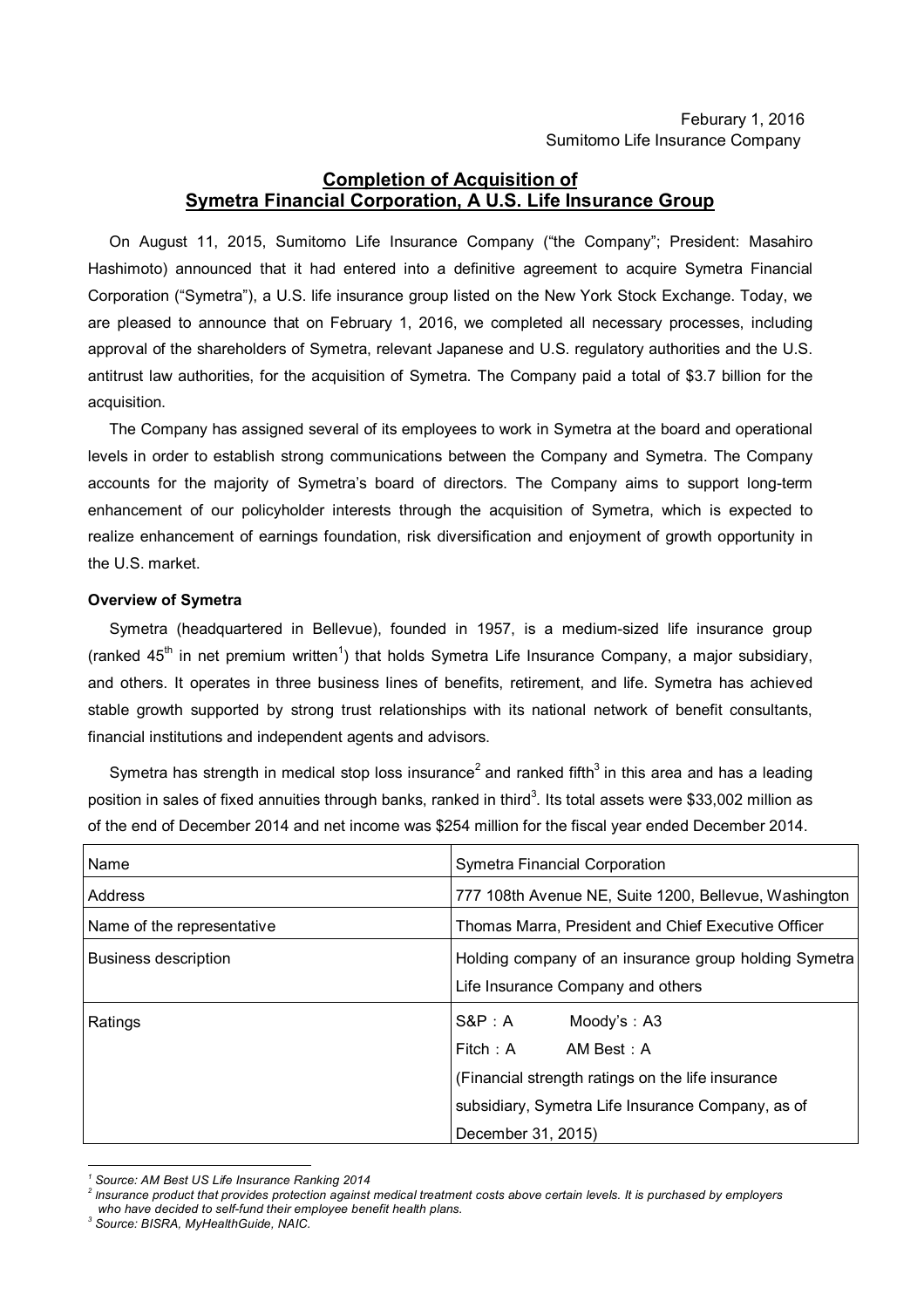## **Completion of Acquisition of Symetra Financial Corporation, A U.S. Life Insurance Group**

On August 11, 2015, Sumitomo Life Insurance Company ("the Company"; President: Masahiro Hashimoto) announced that it had entered into a definitive agreement to acquire Symetra Financial Corporation ("Symetra"), a U.S. life insurance group listed on the New York Stock Exchange. Today, we are pleased to announce that on February 1, 2016, we completed all necessary processes, including approval of the shareholders of Symetra, relevant Japanese and U.S. regulatory authorities and the U.S. antitrust law authorities, for the acquisition of Symetra. The Company paid a total of \$3.7 billion for the acquisition.

The Company has assigned several of its employees to work in Symetra at the board and operational levels in order to establish strong communications between the Company and Symetra. The Company accounts for the majority of Symetra's board of directors. The Company aims to support long-term enhancement of our policyholder interests through the acquisition of Symetra, which is expected to realize enhancement of earnings foundation, risk diversification and enjoyment of growth opportunity in the U.S. market.

## **Overview of Symetra**

Symetra (headquartered in Bellevue), founded in 1957, is a medium-sized life insurance group (ranked 45<sup>th</sup> in net premium written<sup>1</sup>) that holds Symetra Life Insurance Company, a major subsidiary, and others. It operates in three business lines of benefits, retirement, and life. Symetra has achieved stable growth supported by strong trust relationships with its national network of benefit consultants, financial institutions and independent agents and advisors.

Symetra has strength in medical stop loss insurance<sup>2</sup> and ranked fifth<sup>3</sup> in this area and has a leading position in sales of fixed annuities through banks, ranked in third<sup>3</sup>. Its total assets were \$33,002 million as of the end of December 2014 and net income was \$254 million for the fiscal year ended December 2014.

| Name                        | <b>Symetra Financial Corporation</b>                                                                                                                                                 |  |  |
|-----------------------------|--------------------------------------------------------------------------------------------------------------------------------------------------------------------------------------|--|--|
| Address                     | 777 108th Avenue NE, Suite 1200, Bellevue, Washington                                                                                                                                |  |  |
| Name of the representative  | Thomas Marra, President and Chief Executive Officer                                                                                                                                  |  |  |
| <b>Business description</b> | Holding company of an insurance group holding Symetra<br>Life Insurance Company and others                                                                                           |  |  |
| Ratings                     | $S\&P:A$<br>Moody's : $A3$<br>Fitch: A<br>AM Best: A<br>(Financial strength ratings on the life insurance<br>subsidiary, Symetra Life Insurance Company, as of<br>December 31, 2015) |  |  |

 $\overline{a}$ *<sup>1</sup> Source: AM Best US Life Insurance Ranking 2014*

*<sup>2</sup>* Insurance product that provides protection against medical treatment costs above certain levels. It is purchased by employers  *who have decided to self-fund their employee benefit health plans.*

*<sup>3</sup> Source: BISRA, MyHealthGuide, NAIC.*